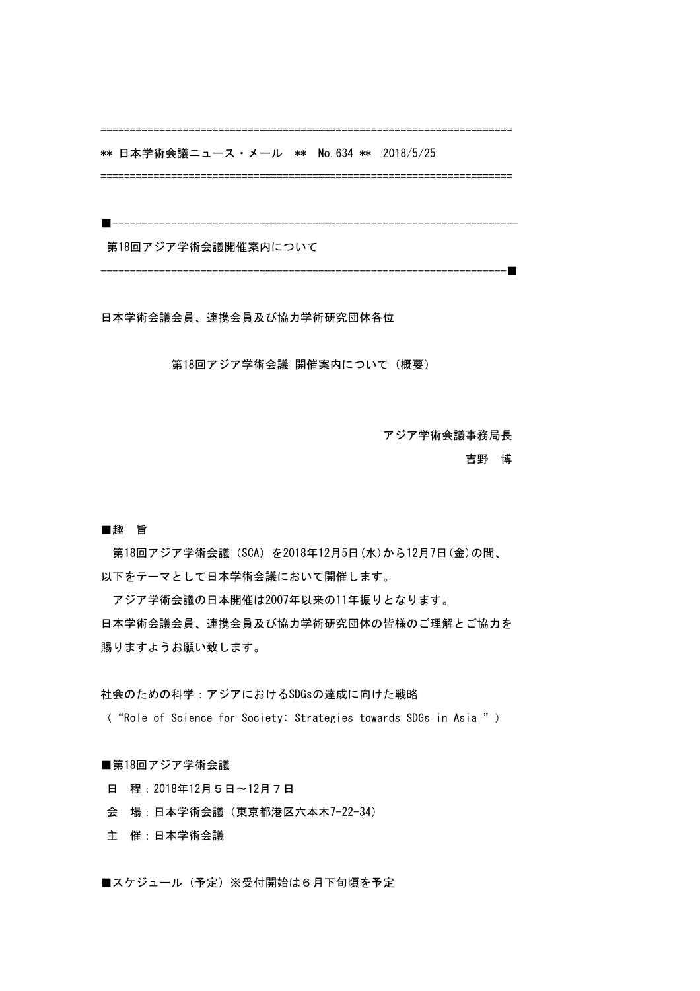================

\*\* 日本学術会議ニュース・メール \*\* No.634 \*\* 2018/5/25

======================================================================

■---------------------------------------------------------------------

第18回アジア学術会議開催案内について

---------------------------------------------------------------------■

日本学術会議会員、連携会員及び協力学術研究団体各位

 第18回アジア学術会議 開催案内について(概要)

 アジア学術会議事務局長

# 吉野 博

#### ■趣 旨

第18回アジア学術会議 (SCA) を2018年12月5日 (水)から12月7日 (金)の間、 以下をテーマとして日本学術会議において開催します。

アジア学術会議の日本開催は2007年以来の11年振りとなります。 日本学術会議会員、連携会員及び協力学術研究団体の皆様のご理解とご協力を 賜りますようお願い致します。

社会のための科学:アジアにおけるSDGsの達成に向けた戦略

("Role of Science for Society: Strategies towards SDGs in Asia ")

## ■第18回アジア学術会議

- 日 程:2018年12月5日〜12月7日
- 会 場:日本学術会議(東京都港区六本木7-22-34)
- 主 催:日本学術会議

■スケジュール(予定) ※受付開始は6月下旬頃を予定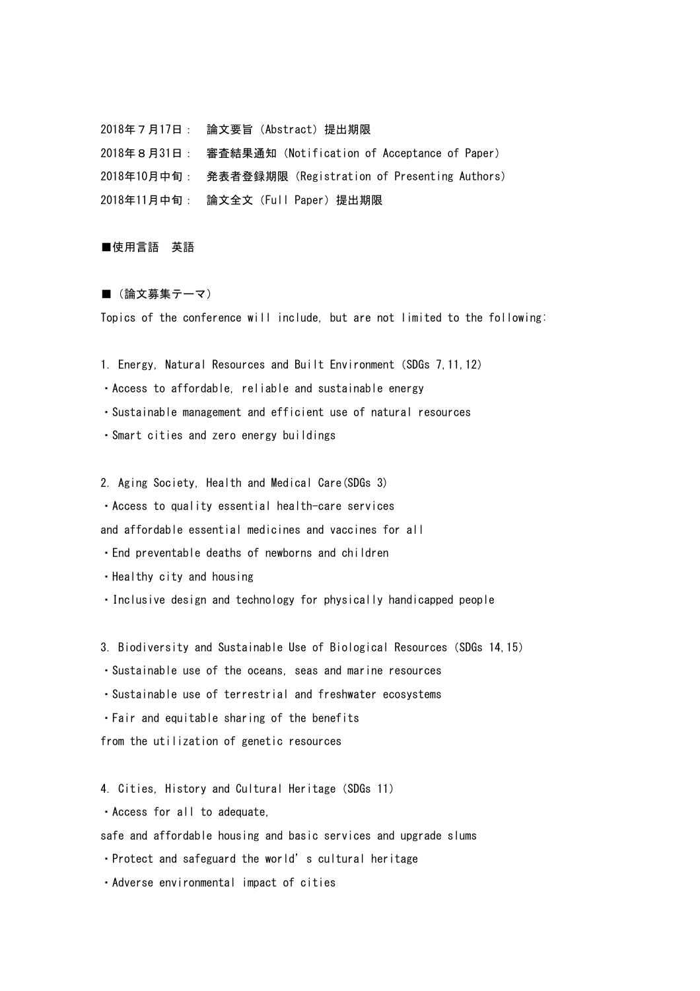2018年7月17日: 論文要旨(Abstract)提出期限 2018年8月31日: 審査結果通知(Notification of Acceptance of Paper) 2018年10月中旬: 発表者登録期限(Registration of Presenting Authors) 2018年11月中旬: 論文全文(Full Paper)提出期限

### ■使用言語 英語

#### ■ (論文募集テーマ)

Topics of the conference will include, but are not limited to the following:

1. Energy, Natural Resources and Built Environment (SDGs 7, 11, 12)

・Access to affordable, reliable and sustainable energy

・Sustainable management and efficient use of natural resources

・Smart cities and zero energy buildings

2. Aging Society, Health and Medical Care(SDGs 3)

・Access to quality essential health-care services 

and affordable essential medicines and vaccines for all

・End preventable deaths of newborns and children

・Healthy city and housing

• Inclusive design and technology for physically handicapped people

3. Biodiversity and Sustainable Use of Biological Resources(SDGs 14,15)

・Sustainable use of the oceans, seas and marine resources

・Sustainable use of terrestrial and freshwater ecosystems

・Fair and equitable sharing of the benefits 

from the utilization of genetic resources

4. Cities, History and Cultural Heritage (SDGs 11)

・Access for all to adequate,

safe and affordable housing and basic services and upgrade slums

・Protect and safeguard the world's cultural heritage

・Adverse environmental impact of cities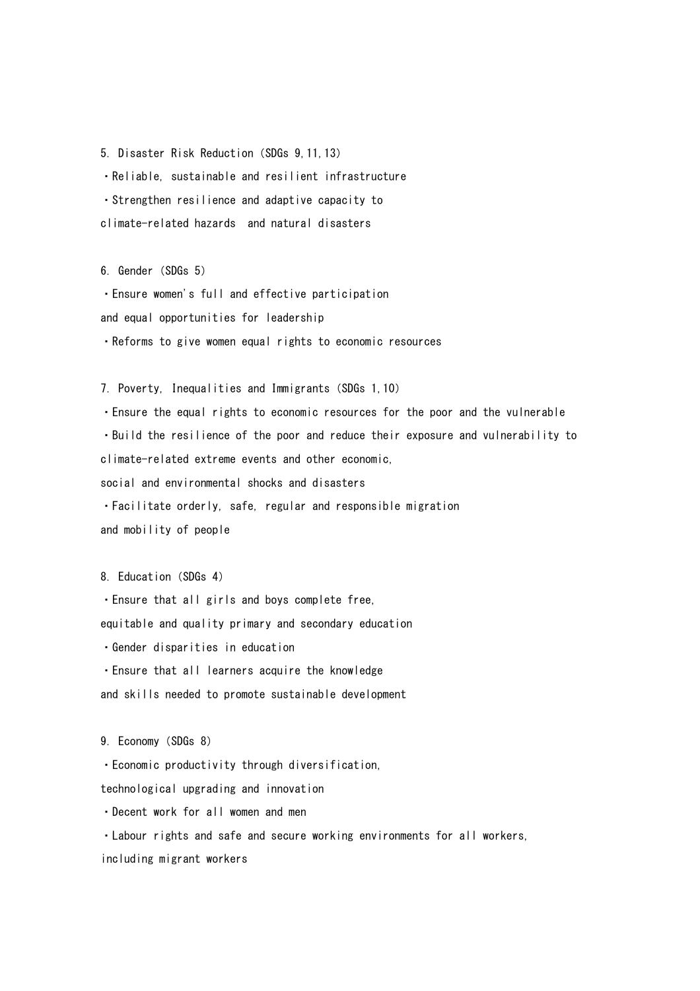5. Disaster Risk Reduction(SDGs 9,11,13)

・Reliable, sustainable and resilient infrastructure

・Strengthen resilience and adaptive capacity to 

climate-related hazards and natural disasters

6. Gender (SDGs 5)

・Ensure women's full and effective participation

and equal opportunities for leadership

・Reforms to give women equal rights to economic resources

7. Poverty, Inequalities and Immigrants (SDGs 1, 10)

• Ensure the equal rights to economic resources for the poor and the vulnerable ・Build the resilience of the poor and reduce their exposure and vulnerability to climate-related extreme events and other economic. social and environmental shocks and disasters ・Facilitate orderly, safe, regular and responsible migration and mobility of people

8. Education (SDGs 4)

・Ensure that all girls and boys complete free,

equitable and quality primary and secondary education

・Gender disparities in education

・Ensure that all learners acquire the knowledge

and skills needed to promote sustainable development

9. Economy (SDGs 8)

・Economic productivity through diversification,

technological upgrading and innovation

・Decent work for all women and men

・Labour rights and safe and secure working environments for all workers, including migrant workers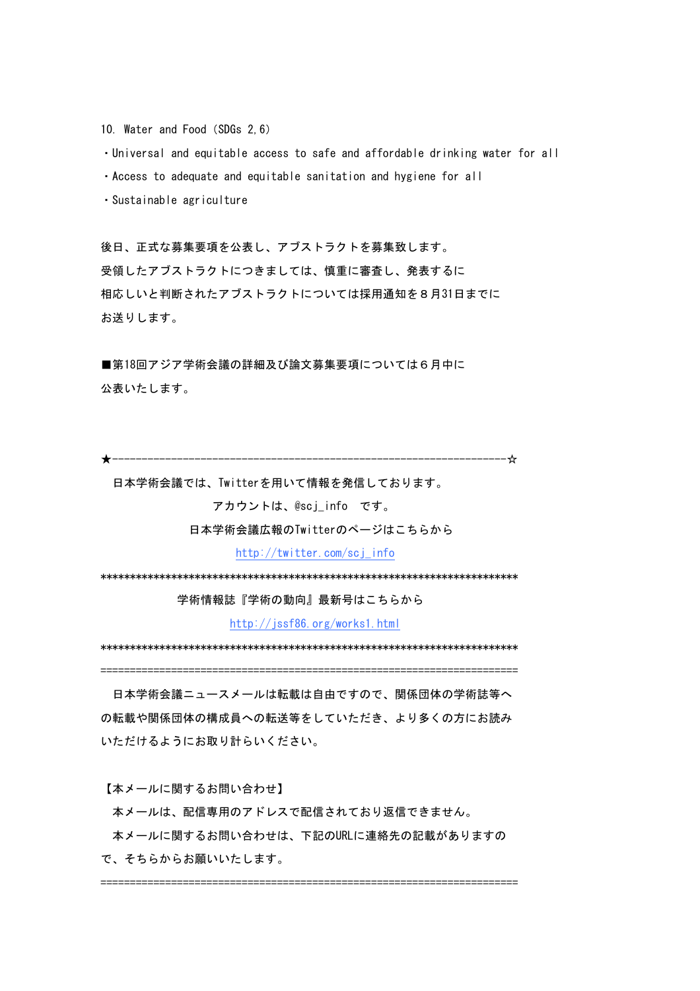10. Water and Food (SDGs 2.6)

· Universal and equitable access to safe and affordable drinking water for all

- . Access to adequate and equitable sanitation and hygiene for all
- · Sustainable agriculture

後日、正式な募集要項を公表し、アブストラクトを募集致します。 受領したアブストラクトにつきましては、慎重に審査し、発表するに 相応しいと判断されたアブストラクトについては採用通知を8月31日までに お送りします。

■第18回アジア学術会議の詳細及び論文募集要項については6月中に 公表いたします。

日本学術会議では、Twitterを用いて情報を発信しております。

アカウントは、@scj\_info です。

日本学術会議広報のTwitterのページはこちらから

http://twitter.com/scj info

学術情報誌『学術の動向』最新号はこちらから

http://jssf86.org/works1.html

日本学術会議ニュースメールは転載は自由ですので、関係団体の学術誌等へ の転載や関係団体の構成員への転送等をしていただき、より多くの方にお読み いただけるようにお取り計らいください。

【本メールに関するお問い合わせ】

本メールは、配信専用のアドレスで配信されており返信できません。

本メールに関するお問い合わせは、下記のURLに連絡先の記載がありますの で、そちらからお願いいたします。